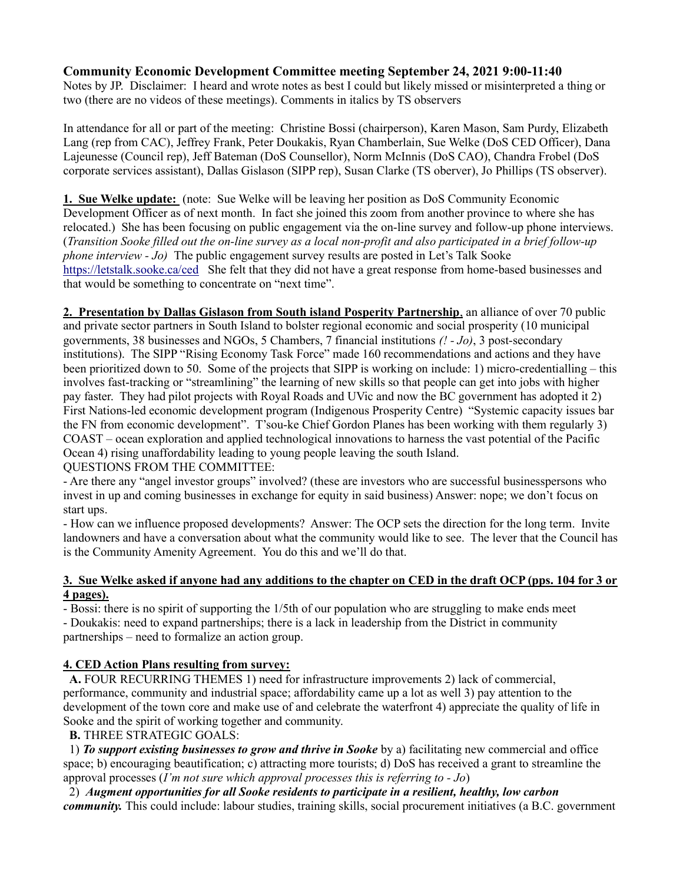# Community Economic Development Committee meeting September 24, 2021 9:00-11:40

Notes by JP. Disclaimer: I heard and wrote notes as best I could but likely missed or misinterpreted a thing or two (there are no videos of these meetings). Comments in italics by TS observers

In attendance for all or part of the meeting: Christine Bossi (chairperson), Karen Mason, Sam Purdy, Elizabeth Lang (rep from CAC), Jeffrey Frank, Peter Doukakis, Ryan Chamberlain, Sue Welke (DoS CED Officer), Dana Lajeunesse (Council rep), Jeff Bateman (DoS Counsellor), Norm McInnis (DoS CAO), Chandra Frobel (DoS corporate services assistant), Dallas Gislason (SIPP rep), Susan Clarke (TS oberver), Jo Phillips (TS observer).

1. Sue Welke update: (note: Sue Welke will be leaving her position as DoS Community Economic Development Officer as of next month. In fact she joined this zoom from another province to where she has relocated.) She has been focusing on public engagement via the on-line survey and follow-up phone interviews. (Transition Sooke filled out the on-line survey as a local non-profit and also participated in a brief follow-up *phone interview - Jo*) The public engagement survey results are posted in Let's Talk Sooke https://letstalk.sooke.ca/ced She felt that they did not have a great response from home-based businesses and that would be something to concentrate on "next time".

2. Presentation by Dallas Gislason from South island Posperity Partnership, an alliance of over 70 public and private sector partners in South Island to bolster regional economic and social prosperity (10 municipal governments, 38 businesses and NGOs, 5 Chambers, 7 financial institutions  $(1 - Jo)$ , 3 post-secondary institutions). The SIPP "Rising Economy Task Force" made 160 recommendations and actions and they have been prioritized down to 50. Some of the projects that SIPP is working on include: 1) micro-credentialling – this involves fast-tracking or "streamlining" the learning of new skills so that people can get into jobs with higher pay faster. They had pilot projects with Royal Roads and UVic and now the BC government has adopted it 2) First Nations-led economic development program (Indigenous Prosperity Centre) "Systemic capacity issues bar the FN from economic development". T'sou-ke Chief Gordon Planes has been working with them regularly 3) COAST – ocean exploration and applied technological innovations to harness the vast potential of the Pacific Ocean 4) rising unaffordability leading to young people leaving the south Island.

## QUESTIONS FROM THE COMMITTEE:

- Are there any "angel investor groups" involved? (these are investors who are successful businesspersons who invest in up and coming businesses in exchange for equity in said business) Answer: nope; we don't focus on start ups.

- How can we influence proposed developments? Answer: The OCP sets the direction for the long term. Invite landowners and have a conversation about what the community would like to see. The lever that the Council has is the Community Amenity Agreement. You do this and we'll do that.

### 3. Sue Welke asked if anyone had any additions to the chapter on CED in the draft OCP (pps. 104 for 3 or 4 pages).

- Bossi: there is no spirit of supporting the 1/5th of our population who are struggling to make ends meet - Doukakis: need to expand partnerships; there is a lack in leadership from the District in community partnerships – need to formalize an action group.

## 4. CED Action Plans resulting from survey:

 A. FOUR RECURRING THEMES 1) need for infrastructure improvements 2) lack of commercial, performance, community and industrial space; affordability came up a lot as well 3) pay attention to the development of the town core and make use of and celebrate the waterfront 4) appreciate the quality of life in Sooke and the spirit of working together and community.

B. THREE STRATEGIC GOALS:

1) To support existing businesses to grow and thrive in Sooke by a) facilitating new commercial and office space; b) encouraging beautification; c) attracting more tourists; d) DoS has received a grant to streamline the approval processes  $(I'm not sure which approval processes this is referring to - Jo)$ 

 2) Augment opportunities for all Sooke residents to participate in a resilient, healthy, low carbon community. This could include: labour studies, training skills, social procurement initiatives (a B.C. government